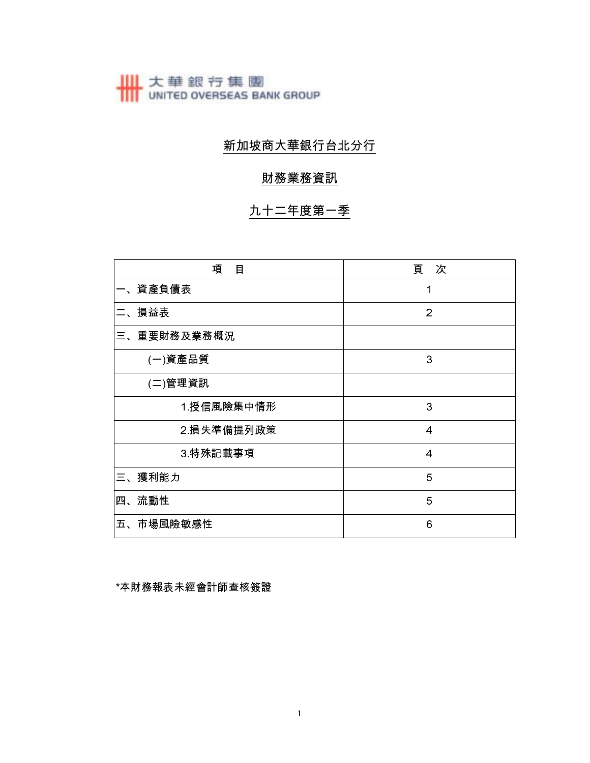# 大華銀行集團<br>
UNITED OVERSEAS BANK GROUP

## 新加坡商大華銀行台北分行

### 財務業務資訊

## 九十二年度第一季

| 項<br>目      | 頁 次            |
|-------------|----------------|
| 一、資產負債表     | 1              |
| 二、損益表       | $\overline{2}$ |
| 三、重要財務及業務概況 |                |
| (一)資產品質     | 3              |
| (二)管理資訊     |                |
| 1授信風險集中情形   | 3              |
| 2 損失準備提列政策  | 4              |
| 3 特殊記載事項    | 4              |
| 三、獲利能力      | 5              |
| 流動性<br>四、   | 5              |
| 五、市場風險敏感性   | 6              |

\*本財務報表未經會計師查核簽證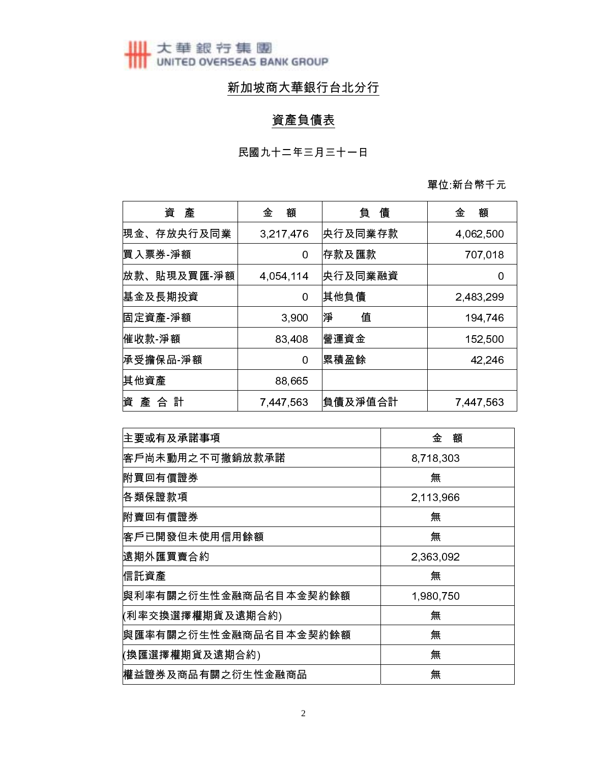**世**太華銀行集團

## 新加坡商大華銀行台北分行

## 資產負債表

單位 新台幣千元

| 資<br>產      | 額<br>金    | 負<br>債  | 額<br>金    |
|-------------|-----------|---------|-----------|
| 現金、存放央行及同業  | 3,217,476 | 央行及同業存款 | 4,062,500 |
| 慣入票券 淨額     | 0         | 存款及匯款   | 707,018   |
| 放款、貼現及買匯 淨額 | 4,054,114 | 央行及同業融資 | 0         |
| 基金及長期投資     | 0         | 其他負債    | 2,483,299 |
| 固定資產 淨額     | 3,900     | 淨<br>值  | 194,746   |
| 催收款 淨額      | 83,408    | 營運資金    | 152,500   |
| 承受擔保品 淨額    | 0         | 累積盈餘    | 42,246    |
| 其他資產        | 88,665    |         |           |
| 產 合 計<br>資  | 7,447,563 | 負債及淨值合計 | 7,447,563 |

| 主要或有及承諾事項             | 金<br>額    |
|-----------------------|-----------|
| 客戶尚未動用之不可撤銷放款承諾       | 8,718,303 |
| 附買回有價證券               | 無         |
| 佫類保證款項                | 2,113,966 |
| 附賣回有價證券               | 無         |
| 客戶已開發但未使用信用餘額         | 無         |
| 遠期外匯買賣合約              | 2,363,092 |
| 信託資產                  | 無         |
| 與利率有關之衍生性金融商品名目本金契約餘額 | 1,980,750 |
| (利率交換選擇權期貨及遠期合約)      | 無         |
| 與匯率有關之衍生性金融商品名目本金契約餘額 | 無         |
| (換匯選擇權期貨及遠期合約)        | 無         |
| 權益證券及商品有關之衍生性金融商品     | 無         |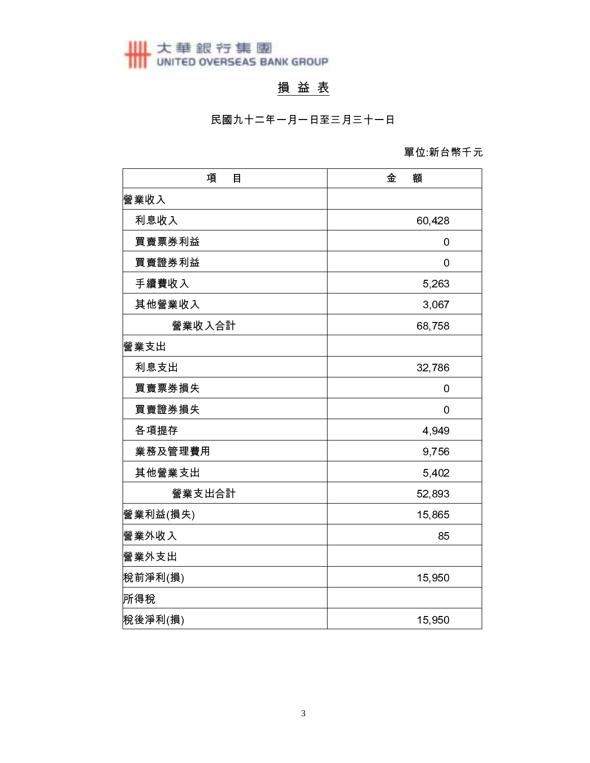大華銀行集團<br>
UNITED OVERSEAS BANK GROUP

## 損益表

民國九十二年一月一日至三月三十一日

### 單位 新台幣千元

| 項<br>目   | 金<br>額 |
|----------|--------|
| 營業收入     |        |
| 利息收入     | 60,428 |
| 買賣票券利益   | 0      |
| 買賣證券利益   | 0      |
| 手續費收入    | 5,263  |
| 其他營業收入   | 3,067  |
| 營業收入合計   | 68,758 |
| 營業支出     |        |
| 利息支出     | 32,786 |
| 買賣票券損失   | 0      |
| 買賣證券損失   | 0      |
| 各項提存     | 4,949  |
| 業務及管理費用  | 9,756  |
| 其他營業支出   | 5,402  |
| 營業支出合計   | 52,893 |
| 營業利益(損失) | 15,865 |
| 營業外收入    | 85     |
| 營業外支出    |        |
| 稅前淨利(損)  | 15,950 |
| 所得稅      |        |
| 稅後淨利(損)  | 15,950 |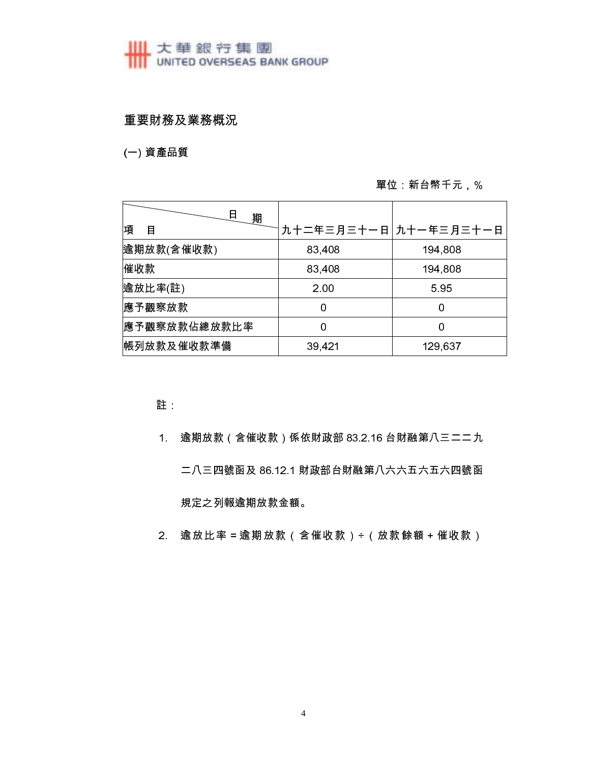# ■ 大華銀行集團<br>■ UNITED OVERSEAS BANK GROUP

### 重要財務及業務概況

(一) 資產品質

### 單位: 新台幣千元, %

| 日<br>期       |                       |         |
|--------------|-----------------------|---------|
| 項<br>目       | 九十二年三月三十一日 九十一年三月三十一日 |         |
| 逾期放款(含催收款)   | 83,408                | 194,808 |
| 催收款          | 83,408                | 194,808 |
| 逾放比率(註)      | 2.00                  | 5.95    |
| 應予觀察放款       |                       | 0       |
| 應予觀察放款佔總放款比率 |                       | Ω       |
| 帳列放款及催收款準備   | 39,421                | 129,637 |

註

- 逾期放款 (含催收款) 係依財政部 83.2.16 台財融第八三二二九  $1<sub>1</sub>$ 二八三四號函及 86.12.1 財政部台財融第八六六五六五六四號函 規定之列報逾期放款金額。
- 2. 逾放比率 = 逾期放款 (含催收款) ÷ (放款餘額 + 催收款)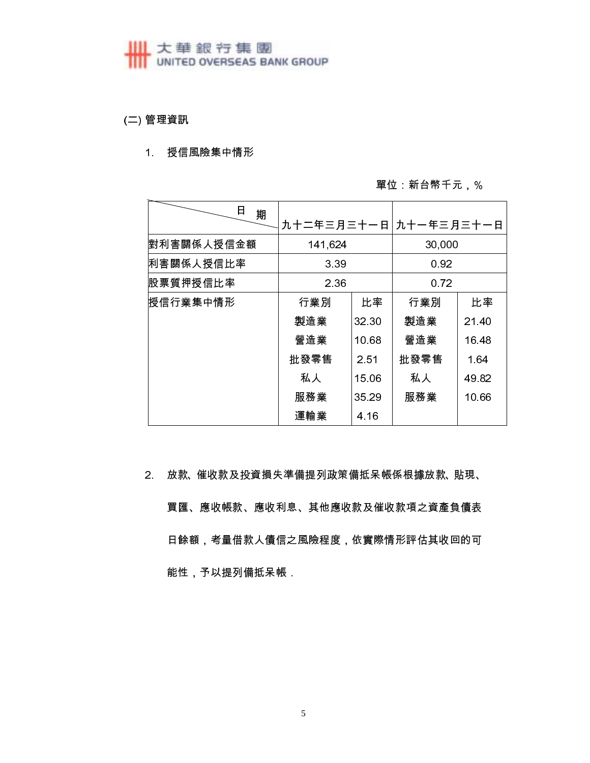# **HI 大華銀行集團**<br>
UNITED OVERSEAS BANK GROUP

(二) 管理資訊

#### 1. 授信風險集中情形

#### 單位 新台幣千元,%

| 日<br>期     |            |       |            |       |
|------------|------------|-------|------------|-------|
|            | 九十二年三月三十一日 |       | 九十一年三月三十一日 |       |
| 對利害關係人授信金額 | 141,624    |       | 30,000     |       |
| 利害關係人授信比率  | 3 3 9      |       | 0.92       |       |
| 股票質押授信比率   | 2.36       |       | 0.72       |       |
| 授信行業集中情形   | 行業別        | 比率    | 行業別        | 比率    |
|            | 製造業        | 32 30 | 製造業        | 21.40 |
|            | 營造業        | 10.68 | 營造業        | 16.48 |
|            | 批發零售       | 2.51  | 批發零售       | 1.64  |
|            | 私人         | 15.06 | 私人         | 49.82 |
|            | 服務業        | 35 29 | 服務業        | 10.66 |
|            | 運輸業        | 4.16  |            |       |

2. 放款、催收款及投資損失準備提列政策備抵呆帳係根據放款、貼現、

買匯、應收帳款、應收利息、其他應收款及催收款項之資產負債表 日餘額,考量借款人債信之風險程度,依實際情形評估其收回的可 能性,予以提列備抵呆帳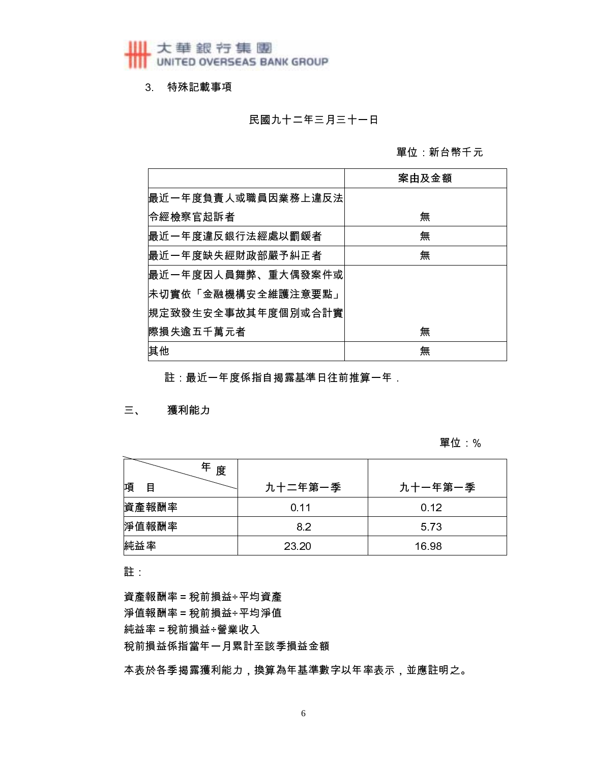3 特殊記載事項

民國九十二年三月三十一日

單位 新台幣千元

|                    | 案由及金額 |
|--------------------|-------|
| 最近一年度負責人或職員因業務上違反法 |       |
| 令經檢察官起訴者           | 無     |
| 最近一年度違反銀行法經處以罰鍰者   | 無     |
| 最近一年度缺失經財政部嚴予糾正者   | 無     |
| 最近一年度因人員舞弊、重大偶發案件或 |       |
| 未切實依「金融機構安全維護注意要點」 |       |
| 規定致發生安全事故其年度個別或合計實 |       |
| l際損失逾五千萬元者         | 無     |
| 其他                 | 無     |

註:最近一年度係指自揭露基準日往前推算一年

三、 獲利能力

#### 單位 %

| Æ<br>度 |         |         |
|--------|---------|---------|
| 項<br>目 | 九十二年第一季 | 九十一年第一季 |
| 資產報酬率  | 0.11    | 0.12    |
| 淨值報酬率  | 8.2     | 573     |
| 純益率    | 23 20   | 16 98   |

註

資產報酬率 = 稅前損益÷平均資產 淨值報酬率 = 稅前損益÷平均淨值 純益率 = 稅前損益÷營業收入 稅前損益係指當年一月累計至該季損益金額

本表於各季揭露獲利能力,換算為年基準數字以年率表示,並應註明之。